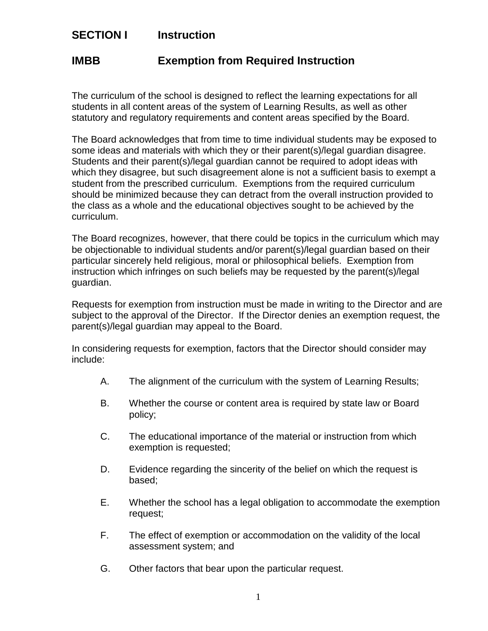## **SECTION I Instruction**

## **IMBB Exemption from Required Instruction**

The curriculum of the school is designed to reflect the learning expectations for all students in all content areas of the system of Learning Results, as well as other statutory and regulatory requirements and content areas specified by the Board.

The Board acknowledges that from time to time individual students may be exposed to some ideas and materials with which they or their parent(s)/legal guardian disagree. Students and their parent(s)/legal guardian cannot be required to adopt ideas with which they disagree, but such disagreement alone is not a sufficient basis to exempt a student from the prescribed curriculum. Exemptions from the required curriculum should be minimized because they can detract from the overall instruction provided to the class as a whole and the educational objectives sought to be achieved by the curriculum.

The Board recognizes, however, that there could be topics in the curriculum which may be objectionable to individual students and/or parent(s)/legal guardian based on their particular sincerely held religious, moral or philosophical beliefs. Exemption from instruction which infringes on such beliefs may be requested by the parent(s)/legal guardian.

Requests for exemption from instruction must be made in writing to the Director and are subject to the approval of the Director. If the Director denies an exemption request, the parent(s)/legal guardian may appeal to the Board.

In considering requests for exemption, factors that the Director should consider may include:

- A. The alignment of the curriculum with the system of Learning Results;
- B. Whether the course or content area is required by state law or Board policy;
- C. The educational importance of the material or instruction from which exemption is requested;
- D. Evidence regarding the sincerity of the belief on which the request is based;
- E. Whether the school has a legal obligation to accommodate the exemption request;
- F. The effect of exemption or accommodation on the validity of the local assessment system; and
- G. Other factors that bear upon the particular request.